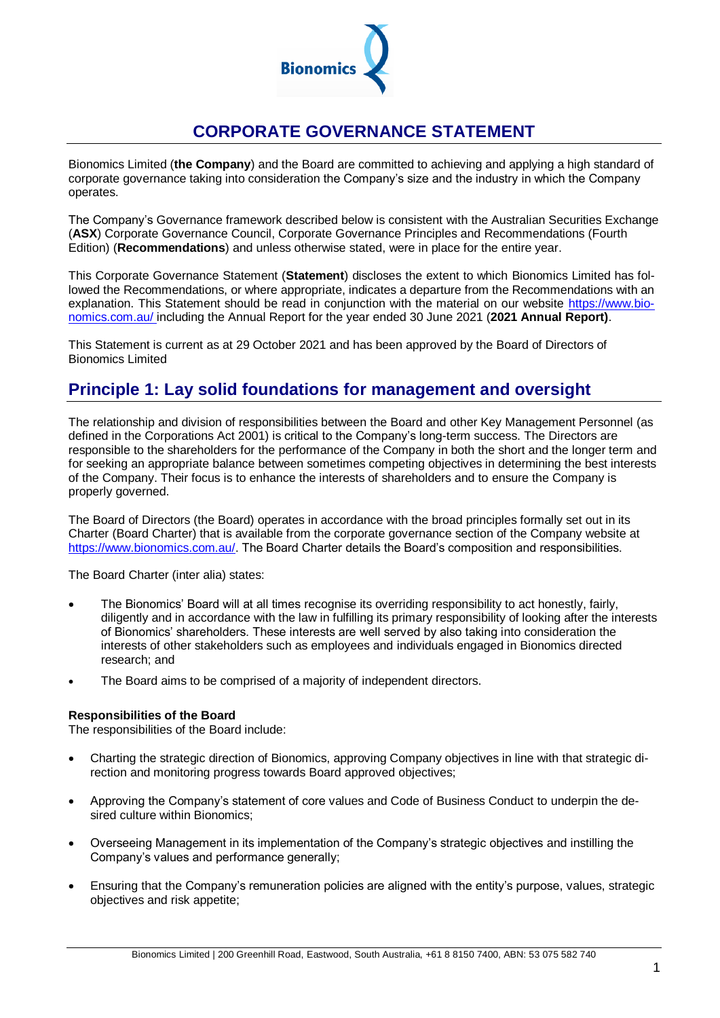

# **CORPORATE GOVERNANCE STATEMENT**

Bionomics Limited (**the Company**) and the Board are committed to achieving and applying a high standard of corporate governance taking into consideration the Company's size and the industry in which the Company operates.

The Company's Governance framework described below is consistent with the Australian Securities Exchange (**ASX**) Corporate Governance Council, Corporate Governance Principles and Recommendations (Fourth Edition) (**Recommendations**) and unless otherwise stated, were in place for the entire year.

This Corporate Governance Statement (**Statement**) discloses the extent to which Bionomics Limited has followed the Recommendations, or where appropriate, indicates a departure from the Recommendations with an explanation. This Statement should be read in conjunction with the material on our website https://www.bionomics.com.au/ including the Annual Report for the year ended 30 June 2021 (**2021 Annual Report)**.

This Statement is current as at 29 October 2021 and has been approved by the Board of Directors of Bionomics Limited

# **Principle 1: Lay solid foundations for management and oversight**

The relationship and division of responsibilities between the Board and other Key Management Personnel (as defined in the Corporations Act 2001) is critical to the Company's long-term success. The Directors are responsible to the shareholders for the performance of the Company in both the short and the longer term and for seeking an appropriate balance between sometimes competing objectives in determining the best interests of the Company. Their focus is to enhance the interests of shareholders and to ensure the Company is properly governed.

The Board of Directors (the Board) operates in accordance with the broad principles formally set out in its Charter (Board Charter) that is available from the corporate governance section of the Company website at [https://www.bionomics.com.au/.](https://www.bionomics.com.au/) The Board Charter details the Board's composition and responsibilities.

The Board Charter (inter alia) states:

- The Bionomics' Board will at all times recognise its overriding responsibility to act honestly, fairly, diligently and in accordance with the law in fulfilling its primary responsibility of looking after the interests of Bionomics' shareholders. These interests are well served by also taking into consideration the interests of other stakeholders such as employees and individuals engaged in Bionomics directed research; and
- The Board aims to be comprised of a majority of independent directors.

# **Responsibilities of the Board**

The responsibilities of the Board include:

- Charting the strategic direction of Bionomics, approving Company objectives in line with that strategic direction and monitoring progress towards Board approved objectives;
- Approving the Company's statement of core values and Code of Business Conduct to underpin the desired culture within Bionomics;
- Overseeing Management in its implementation of the Company's strategic objectives and instilling the Company's values and performance generally;
- Ensuring that the Company's remuneration policies are aligned with the entity's purpose, values, strategic objectives and risk appetite;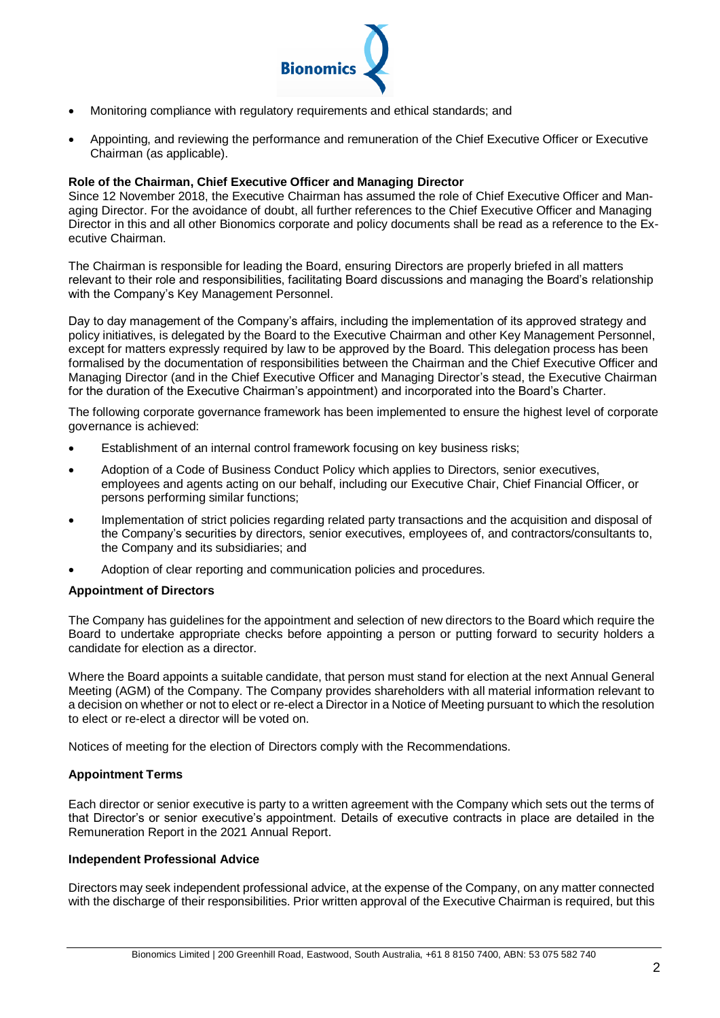

- Monitoring compliance with regulatory requirements and ethical standards; and
- Appointing, and reviewing the performance and remuneration of the Chief Executive Officer or Executive Chairman (as applicable).

#### **Role of the Chairman, Chief Executive Officer and Managing Director**

Since 12 November 2018, the Executive Chairman has assumed the role of Chief Executive Officer and Managing Director. For the avoidance of doubt, all further references to the Chief Executive Officer and Managing Director in this and all other Bionomics corporate and policy documents shall be read as a reference to the Executive Chairman.

The Chairman is responsible for leading the Board, ensuring Directors are properly briefed in all matters relevant to their role and responsibilities, facilitating Board discussions and managing the Board's relationship with the Company's Key Management Personnel.

Day to day management of the Company's affairs, including the implementation of its approved strategy and policy initiatives, is delegated by the Board to the Executive Chairman and other Key Management Personnel, except for matters expressly required by law to be approved by the Board. This delegation process has been formalised by the documentation of responsibilities between the Chairman and the Chief Executive Officer and Managing Director (and in the Chief Executive Officer and Managing Director's stead, the Executive Chairman for the duration of the Executive Chairman's appointment) and incorporated into the Board's Charter.

The following corporate governance framework has been implemented to ensure the highest level of corporate governance is achieved:

- Establishment of an internal control framework focusing on key business risks;
- Adoption of a Code of Business Conduct Policy which applies to Directors, senior executives, employees and agents acting on our behalf, including our Executive Chair, Chief Financial Officer, or persons performing similar functions;
- Implementation of strict policies regarding related party transactions and the acquisition and disposal of the Company's securities by directors, senior executives, employees of, and contractors/consultants to, the Company and its subsidiaries; and
- Adoption of clear reporting and communication policies and procedures.

#### **Appointment of Directors**

The Company has guidelines for the appointment and selection of new directors to the Board which require the Board to undertake appropriate checks before appointing a person or putting forward to security holders a candidate for election as a director.

Where the Board appoints a suitable candidate, that person must stand for election at the next Annual General Meeting (AGM) of the Company. The Company provides shareholders with all material information relevant to a decision on whether or not to elect or re-elect a Director in a Notice of Meeting pursuant to which the resolution to elect or re-elect a director will be voted on.

Notices of meeting for the election of Directors comply with the Recommendations.

# **Appointment Terms**

Each director or senior executive is party to a written agreement with the Company which sets out the terms of that Director's or senior executive's appointment. Details of executive contracts in place are detailed in the Remuneration Report in the 2021 Annual Report.

#### **Independent Professional Advice**

Directors may seek independent professional advice, at the expense of the Company, on any matter connected with the discharge of their responsibilities. Prior written approval of the Executive Chairman is required, but this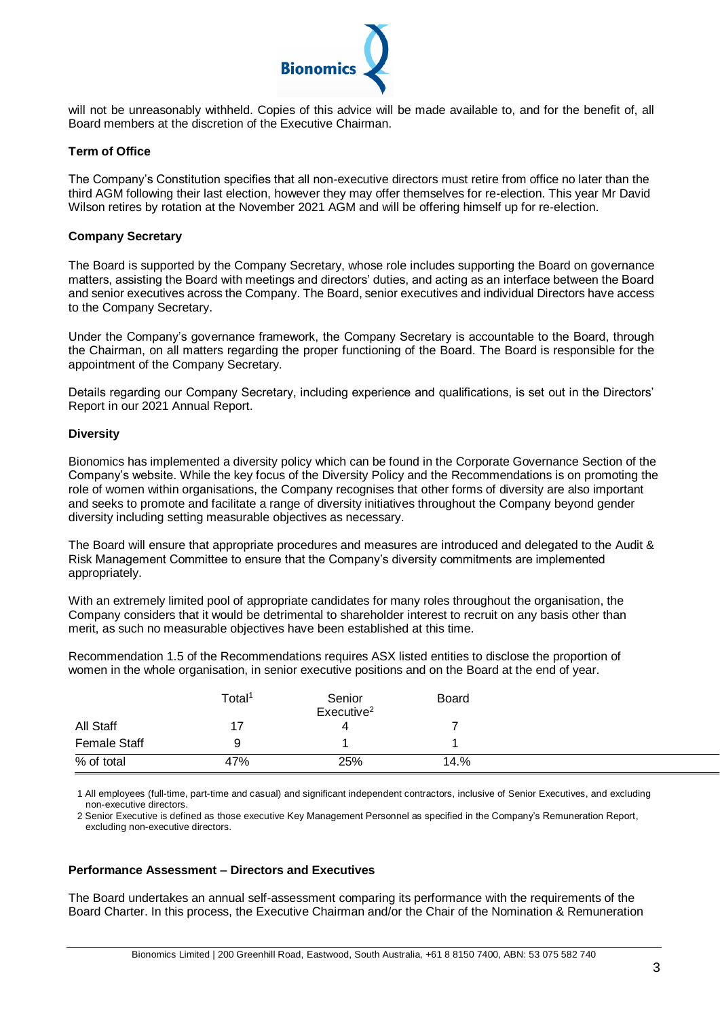

will not be unreasonably withheld. Copies of this advice will be made available to, and for the benefit of, all Board members at the discretion of the Executive Chairman.

### **Term of Office**

The Company's Constitution specifies that all non-executive directors must retire from office no later than the third AGM following their last election, however they may offer themselves for re-election. This year Mr David Wilson retires by rotation at the November 2021 AGM and will be offering himself up for re-election.

#### **Company Secretary**

The Board is supported by the Company Secretary, whose role includes supporting the Board on governance matters, assisting the Board with meetings and directors' duties, and acting as an interface between the Board and senior executives across the Company. The Board, senior executives and individual Directors have access to the Company Secretary.

Under the Company's governance framework, the Company Secretary is accountable to the Board, through the Chairman, on all matters regarding the proper functioning of the Board. The Board is responsible for the appointment of the Company Secretary.

Details regarding our Company Secretary, including experience and qualifications, is set out in the Directors' Report in our 2021 Annual Report.

### **Diversity**

Bionomics has implemented a diversity policy which can be found in the Corporate Governance Section of the Company's website. While the key focus of the Diversity Policy and the Recommendations is on promoting the role of women within organisations, the Company recognises that other forms of diversity are also important and seeks to promote and facilitate a range of diversity initiatives throughout the Company beyond gender diversity including setting measurable objectives as necessary.

The Board will ensure that appropriate procedures and measures are introduced and delegated to the Audit & Risk Management Committee to ensure that the Company's diversity commitments are implemented appropriately.

With an extremely limited pool of appropriate candidates for many roles throughout the organisation, the Company considers that it would be detrimental to shareholder interest to recruit on any basis other than merit, as such no measurable objectives have been established at this time.

Recommendation 1.5 of the Recommendations requires ASX listed entities to disclose the proportion of women in the whole organisation, in senior executive positions and on the Board at the end of year.

|                     | Total <sup>1</sup> | Senior<br>Exercise <sup>2</sup> | <b>Board</b> |  |
|---------------------|--------------------|---------------------------------|--------------|--|
| All Staff           |                    | 4                               |              |  |
| <b>Female Staff</b> | 9                  |                                 |              |  |
| % of total          | 47%                | 25%                             | 14.%         |  |

1 All employees (full-time, part-time and casual) and significant independent contractors, inclusive of Senior Executives, and excluding non-executive directors.

2 Senior Executive is defined as those executive Key Management Personnel as specified in the Company's Remuneration Report, excluding non-executive directors.

#### **Performance Assessment – Directors and Executives**

The Board undertakes an annual self-assessment comparing its performance with the requirements of the Board Charter. In this process, the Executive Chairman and/or the Chair of the Nomination & Remuneration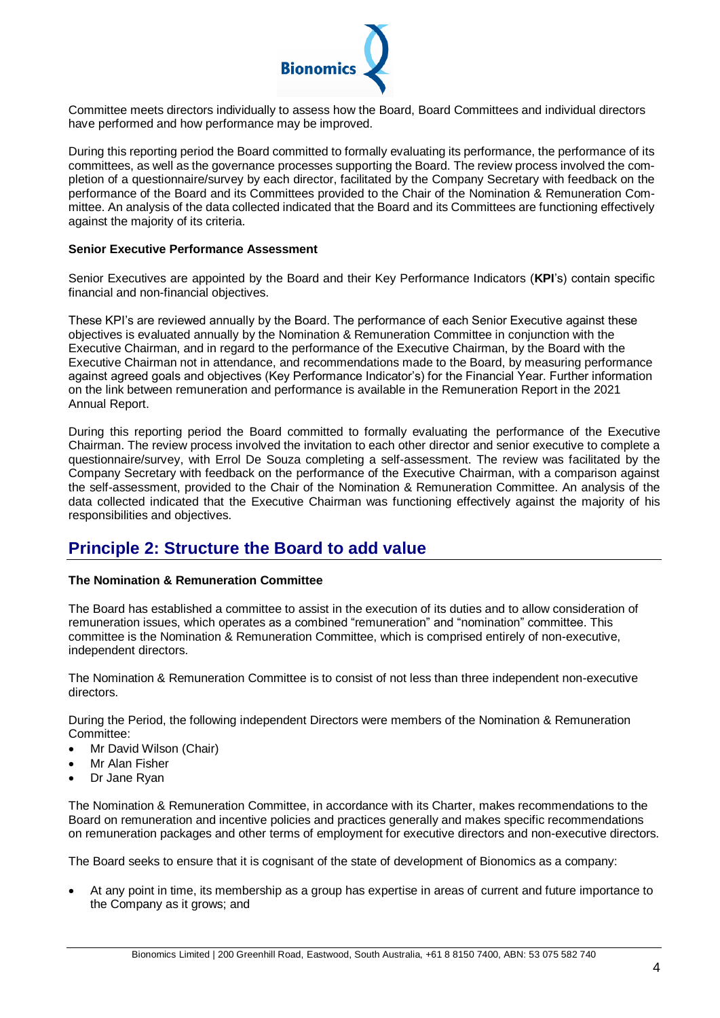

Committee meets directors individually to assess how the Board, Board Committees and individual directors have performed and how performance may be improved.

During this reporting period the Board committed to formally evaluating its performance, the performance of its committees, as well as the governance processes supporting the Board. The review process involved the completion of a questionnaire/survey by each director, facilitated by the Company Secretary with feedback on the performance of the Board and its Committees provided to the Chair of the Nomination & Remuneration Committee. An analysis of the data collected indicated that the Board and its Committees are functioning effectively against the majority of its criteria.

### **Senior Executive Performance Assessment**

Senior Executives are appointed by the Board and their Key Performance Indicators (**KPI**'s) contain specific financial and non-financial objectives.

These KPI's are reviewed annually by the Board. The performance of each Senior Executive against these objectives is evaluated annually by the Nomination & Remuneration Committee in conjunction with the Executive Chairman, and in regard to the performance of the Executive Chairman, by the Board with the Executive Chairman not in attendance, and recommendations made to the Board, by measuring performance against agreed goals and objectives (Key Performance Indicator's) for the Financial Year. Further information on the link between remuneration and performance is available in the Remuneration Report in the 2021 Annual Report.

During this reporting period the Board committed to formally evaluating the performance of the Executive Chairman. The review process involved the invitation to each other director and senior executive to complete a questionnaire/survey, with Errol De Souza completing a self-assessment. The review was facilitated by the Company Secretary with feedback on the performance of the Executive Chairman, with a comparison against the self-assessment, provided to the Chair of the Nomination & Remuneration Committee. An analysis of the data collected indicated that the Executive Chairman was functioning effectively against the majority of his responsibilities and objectives.

# **Principle 2: Structure the Board to add value**

# **The Nomination & Remuneration Committee**

The Board has established a committee to assist in the execution of its duties and to allow consideration of remuneration issues, which operates as a combined "remuneration" and "nomination" committee. This committee is the Nomination & Remuneration Committee, which is comprised entirely of non-executive, independent directors.

The Nomination & Remuneration Committee is to consist of not less than three independent non-executive directors.

During the Period, the following independent Directors were members of the Nomination & Remuneration Committee:

- Mr David Wilson (Chair)
- Mr Alan Fisher
- Dr Jane Ryan

The Nomination & Remuneration Committee, in accordance with its Charter, makes recommendations to the Board on remuneration and incentive policies and practices generally and makes specific recommendations on remuneration packages and other terms of employment for executive directors and non-executive directors.

The Board seeks to ensure that it is cognisant of the state of development of Bionomics as a company:

 At any point in time, its membership as a group has expertise in areas of current and future importance to the Company as it grows; and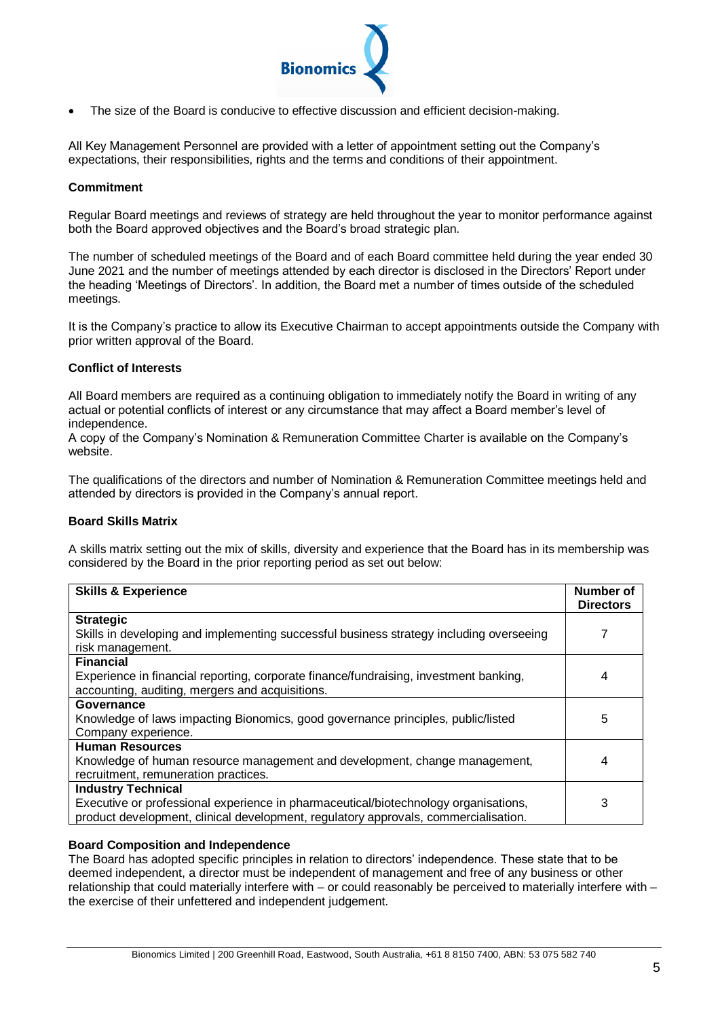

The size of the Board is conducive to effective discussion and efficient decision-making.

All Key Management Personnel are provided with a letter of appointment setting out the Company's expectations, their responsibilities, rights and the terms and conditions of their appointment.

#### **Commitment**

Regular Board meetings and reviews of strategy are held throughout the year to monitor performance against both the Board approved objectives and the Board's broad strategic plan.

The number of scheduled meetings of the Board and of each Board committee held during the year ended 30 June 2021 and the number of meetings attended by each director is disclosed in the Directors' Report under the heading 'Meetings of Directors'. In addition, the Board met a number of times outside of the scheduled meetings.

It is the Company's practice to allow its Executive Chairman to accept appointments outside the Company with prior written approval of the Board.

### **Conflict of Interests**

All Board members are required as a continuing obligation to immediately notify the Board in writing of any actual or potential conflicts of interest or any circumstance that may affect a Board member's level of independence.

A copy of the Company's Nomination & Remuneration Committee Charter is available on the Company's website.

The qualifications of the directors and number of Nomination & Remuneration Committee meetings held and attended by directors is provided in the Company's annual report.

### **Board Skills Matrix**

A skills matrix setting out the mix of skills, diversity and experience that the Board has in its membership was considered by the Board in the prior reporting period as set out below:

| <b>Skills &amp; Experience</b>                                                          | Number of<br><b>Directors</b> |  |  |
|-----------------------------------------------------------------------------------------|-------------------------------|--|--|
| <b>Strategic</b>                                                                        |                               |  |  |
| Skills in developing and implementing successful business strategy including overseeing |                               |  |  |
| risk management.                                                                        |                               |  |  |
| <b>Financial</b>                                                                        |                               |  |  |
| Experience in financial reporting, corporate finance/fundraising, investment banking,   |                               |  |  |
| accounting, auditing, mergers and acquisitions.                                         |                               |  |  |
| Governance                                                                              |                               |  |  |
| Knowledge of laws impacting Bionomics, good governance principles, public/listed        | 5                             |  |  |
| Company experience.                                                                     |                               |  |  |
| <b>Human Resources</b>                                                                  |                               |  |  |
| Knowledge of human resource management and development, change management,              | 4                             |  |  |
| recruitment, remuneration practices.                                                    |                               |  |  |
| <b>Industry Technical</b>                                                               |                               |  |  |
| Executive or professional experience in pharmaceutical/biotechnology organisations,     | 3                             |  |  |
| product development, clinical development, regulatory approvals, commercialisation.     |                               |  |  |

# **Board Composition and Independence**

The Board has adopted specific principles in relation to directors' independence. These state that to be deemed independent, a director must be independent of management and free of any business or other relationship that could materially interfere with – or could reasonably be perceived to materially interfere with – the exercise of their unfettered and independent judgement.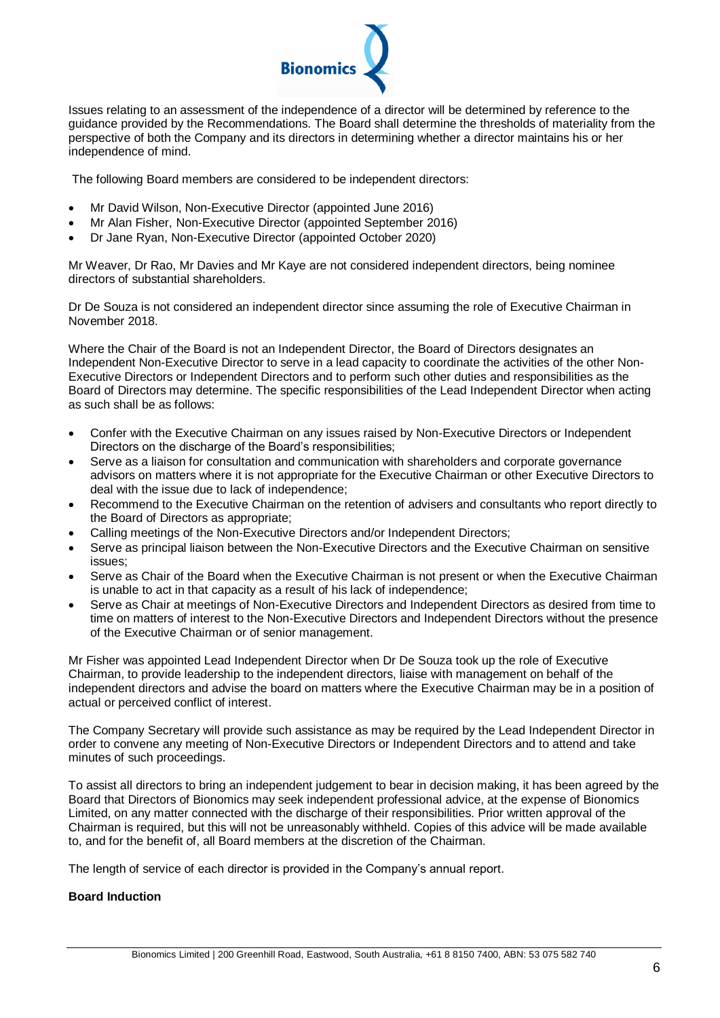

Issues relating to an assessment of the independence of a director will be determined by reference to the guidance provided by the Recommendations. The Board shall determine the thresholds of materiality from the perspective of both the Company and its directors in determining whether a director maintains his or her independence of mind.

The following Board members are considered to be independent directors:

- Mr David Wilson, Non-Executive Director (appointed June 2016)
- Mr Alan Fisher, Non-Executive Director (appointed September 2016)
- Dr Jane Ryan, Non-Executive Director (appointed October 2020)

Mr Weaver, Dr Rao, Mr Davies and Mr Kaye are not considered independent directors, being nominee directors of substantial shareholders.

Dr De Souza is not considered an independent director since assuming the role of Executive Chairman in November 2018.

Where the Chair of the Board is not an Independent Director, the Board of Directors designates an Independent Non-Executive Director to serve in a lead capacity to coordinate the activities of the other Non-Executive Directors or Independent Directors and to perform such other duties and responsibilities as the Board of Directors may determine. The specific responsibilities of the Lead Independent Director when acting as such shall be as follows:

- Confer with the Executive Chairman on any issues raised by Non-Executive Directors or Independent Directors on the discharge of the Board's responsibilities;
- Serve as a liaison for consultation and communication with shareholders and corporate governance advisors on matters where it is not appropriate for the Executive Chairman or other Executive Directors to deal with the issue due to lack of independence;
- Recommend to the Executive Chairman on the retention of advisers and consultants who report directly to the Board of Directors as appropriate;
- Calling meetings of the Non-Executive Directors and/or Independent Directors;
- Serve as principal liaison between the Non-Executive Directors and the Executive Chairman on sensitive issues;
- Serve as Chair of the Board when the Executive Chairman is not present or when the Executive Chairman is unable to act in that capacity as a result of his lack of independence;
- Serve as Chair at meetings of Non-Executive Directors and Independent Directors as desired from time to time on matters of interest to the Non-Executive Directors and Independent Directors without the presence of the Executive Chairman or of senior management.

Mr Fisher was appointed Lead Independent Director when Dr De Souza took up the role of Executive Chairman, to provide leadership to the independent directors, liaise with management on behalf of the independent directors and advise the board on matters where the Executive Chairman may be in a position of actual or perceived conflict of interest.

The Company Secretary will provide such assistance as may be required by the Lead Independent Director in order to convene any meeting of Non-Executive Directors or Independent Directors and to attend and take minutes of such proceedings.

To assist all directors to bring an independent judgement to bear in decision making, it has been agreed by the Board that Directors of Bionomics may seek independent professional advice, at the expense of Bionomics Limited, on any matter connected with the discharge of their responsibilities. Prior written approval of the Chairman is required, but this will not be unreasonably withheld. Copies of this advice will be made available to, and for the benefit of, all Board members at the discretion of the Chairman.

The length of service of each director is provided in the Company's annual report.

# **Board Induction**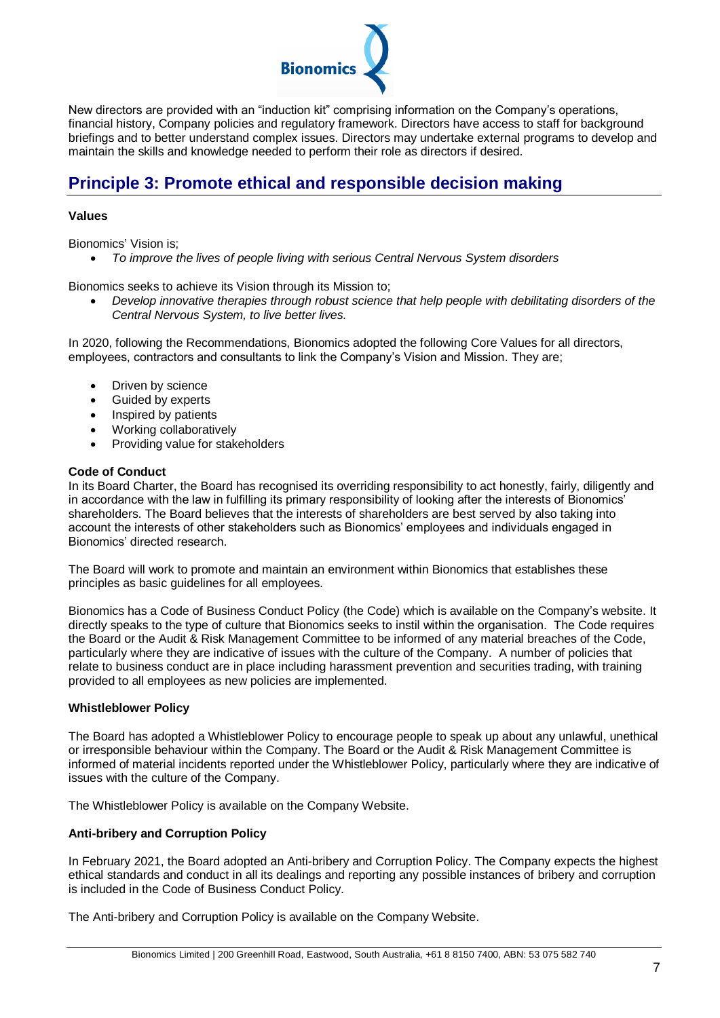

New directors are provided with an "induction kit" comprising information on the Company's operations, financial history, Company policies and regulatory framework. Directors have access to staff for background briefings and to better understand complex issues. Directors may undertake external programs to develop and maintain the skills and knowledge needed to perform their role as directors if desired.

# **Principle 3: Promote ethical and responsible decision making**

# **Values**

Bionomics' Vision is;

*To improve the lives of people living with serious Central Nervous System disorders*

Bionomics seeks to achieve its Vision through its Mission to;

 *Develop innovative therapies through robust science that help people with debilitating disorders of the Central Nervous System, to live better lives.*

In 2020, following the Recommendations, Bionomics adopted the following Core Values for all directors, employees, contractors and consultants to link the Company's Vision and Mission. They are;

- Driven by science
- Guided by experts
- Inspired by patients
- Working collaboratively
- Providing value for stakeholders

### **Code of Conduct**

In its Board Charter, the Board has recognised its overriding responsibility to act honestly, fairly, diligently and in accordance with the law in fulfilling its primary responsibility of looking after the interests of Bionomics' shareholders. The Board believes that the interests of shareholders are best served by also taking into account the interests of other stakeholders such as Bionomics' employees and individuals engaged in Bionomics' directed research.

The Board will work to promote and maintain an environment within Bionomics that establishes these principles as basic guidelines for all employees.

Bionomics has a Code of Business Conduct Policy (the Code) which is available on the Company's website. It directly speaks to the type of culture that Bionomics seeks to instil within the organisation. The Code requires the Board or the Audit & Risk Management Committee to be informed of any material breaches of the Code, particularly where they are indicative of issues with the culture of the Company. A number of policies that relate to business conduct are in place including harassment prevention and securities trading, with training provided to all employees as new policies are implemented.

# **Whistleblower Policy**

The Board has adopted a Whistleblower Policy to encourage people to speak up about any unlawful, unethical or irresponsible behaviour within the Company. The Board or the Audit & Risk Management Committee is informed of material incidents reported under the Whistleblower Policy, particularly where they are indicative of issues with the culture of the Company.

The Whistleblower Policy is available on the Company Website.

# **Anti-bribery and Corruption Policy**

In February 2021, the Board adopted an Anti-bribery and Corruption Policy. The Company expects the highest ethical standards and conduct in all its dealings and reporting any possible instances of bribery and corruption is included in the Code of Business Conduct Policy.

The Anti-bribery and Corruption Policy is available on the Company Website.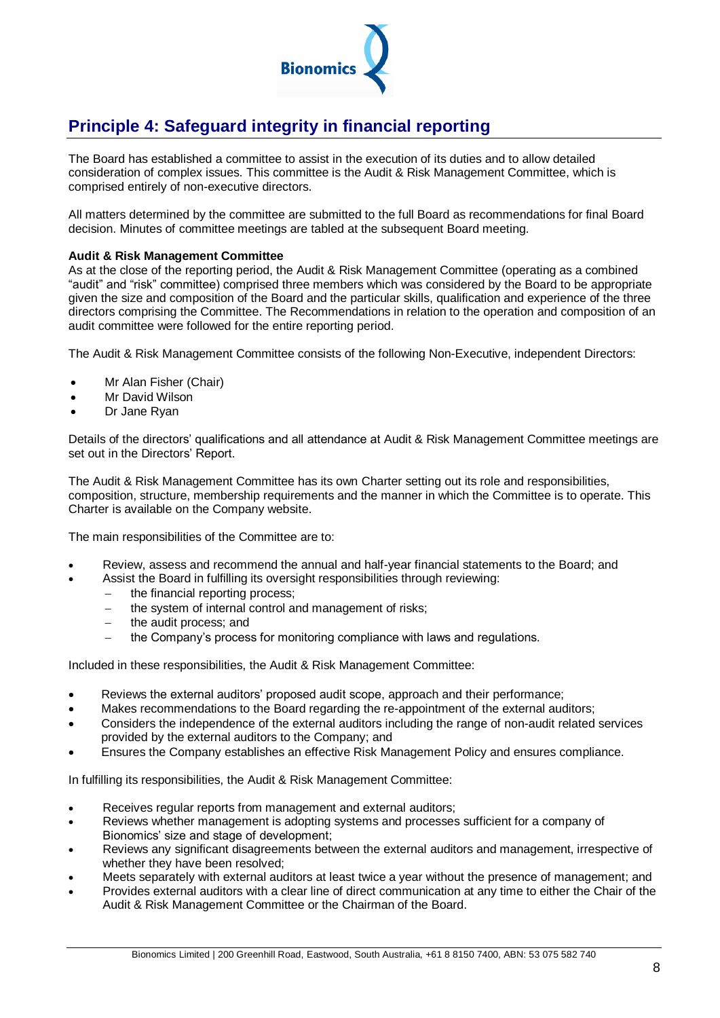

# **Principle 4: Safeguard integrity in financial reporting**

The Board has established a committee to assist in the execution of its duties and to allow detailed consideration of complex issues. This committee is the Audit & Risk Management Committee, which is comprised entirely of non-executive directors.

All matters determined by the committee are submitted to the full Board as recommendations for final Board decision. Minutes of committee meetings are tabled at the subsequent Board meeting.

# **Audit & Risk Management Committee**

As at the close of the reporting period, the Audit & Risk Management Committee (operating as a combined "audit" and "risk" committee) comprised three members which was considered by the Board to be appropriate given the size and composition of the Board and the particular skills, qualification and experience of the three directors comprising the Committee. The Recommendations in relation to the operation and composition of an audit committee were followed for the entire reporting period.

The Audit & Risk Management Committee consists of the following Non-Executive, independent Directors:

- Mr Alan Fisher (Chair)
- Mr David Wilson
- Dr Jane Ryan

Details of the directors' qualifications and all attendance at Audit & Risk Management Committee meetings are set out in the Directors' Report.

The Audit & Risk Management Committee has its own Charter setting out its role and responsibilities, composition, structure, membership requirements and the manner in which the Committee is to operate. This Charter is available on the Company website.

The main responsibilities of the Committee are to:

- Review, assess and recommend the annual and half-year financial statements to the Board; and
- Assist the Board in fulfilling its oversight responsibilities through reviewing:
	- $-$  the financial reporting process:
	- the system of internal control and management of risks;
	- $-$  the audit process; and
	- the Company's process for monitoring compliance with laws and regulations.

Included in these responsibilities, the Audit & Risk Management Committee:

- Reviews the external auditors' proposed audit scope, approach and their performance;
- Makes recommendations to the Board regarding the re-appointment of the external auditors;
- Considers the independence of the external auditors including the range of non-audit related services provided by the external auditors to the Company; and
- Ensures the Company establishes an effective Risk Management Policy and ensures compliance.

In fulfilling its responsibilities, the Audit & Risk Management Committee:

- Receives regular reports from management and external auditors;
- Reviews whether management is adopting systems and processes sufficient for a company of Bionomics' size and stage of development;
- Reviews any significant disagreements between the external auditors and management, irrespective of whether they have been resolved;
- Meets separately with external auditors at least twice a year without the presence of management; and
- Provides external auditors with a clear line of direct communication at any time to either the Chair of the Audit & Risk Management Committee or the Chairman of the Board.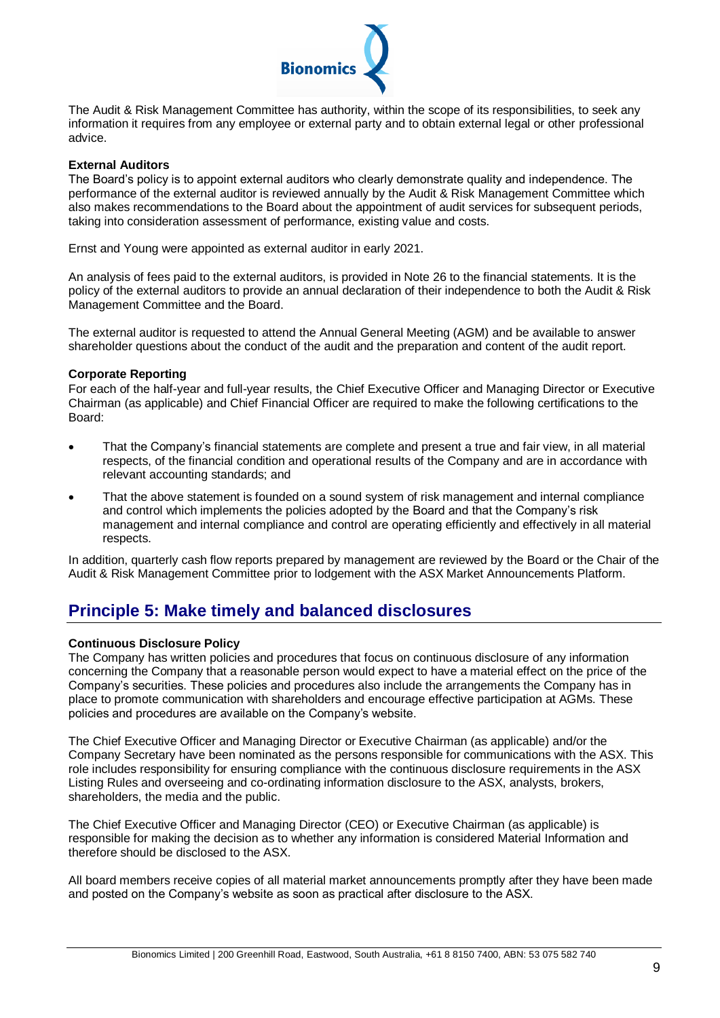

The Audit & Risk Management Committee has authority, within the scope of its responsibilities, to seek any information it requires from any employee or external party and to obtain external legal or other professional advice.

### **External Auditors**

The Board's policy is to appoint external auditors who clearly demonstrate quality and independence. The performance of the external auditor is reviewed annually by the Audit & Risk Management Committee which also makes recommendations to the Board about the appointment of audit services for subsequent periods, taking into consideration assessment of performance, existing value and costs.

Ernst and Young were appointed as external auditor in early 2021.

An analysis of fees paid to the external auditors, is provided in Note 26 to the financial statements. It is the policy of the external auditors to provide an annual declaration of their independence to both the Audit & Risk Management Committee and the Board.

The external auditor is requested to attend the Annual General Meeting (AGM) and be available to answer shareholder questions about the conduct of the audit and the preparation and content of the audit report.

### **Corporate Reporting**

For each of the half-year and full-year results, the Chief Executive Officer and Managing Director or Executive Chairman (as applicable) and Chief Financial Officer are required to make the following certifications to the Board:

- That the Company's financial statements are complete and present a true and fair view, in all material respects, of the financial condition and operational results of the Company and are in accordance with relevant accounting standards; and
- That the above statement is founded on a sound system of risk management and internal compliance and control which implements the policies adopted by the Board and that the Company's risk management and internal compliance and control are operating efficiently and effectively in all material respects.

In addition, quarterly cash flow reports prepared by management are reviewed by the Board or the Chair of the Audit & Risk Management Committee prior to lodgement with the ASX Market Announcements Platform.

# **Principle 5: Make timely and balanced disclosures**

# **Continuous Disclosure Policy**

The Company has written policies and procedures that focus on continuous disclosure of any information concerning the Company that a reasonable person would expect to have a material effect on the price of the Company's securities. These policies and procedures also include the arrangements the Company has in place to promote communication with shareholders and encourage effective participation at AGMs. These policies and procedures are available on the Company's website.

The Chief Executive Officer and Managing Director or Executive Chairman (as applicable) and/or the Company Secretary have been nominated as the persons responsible for communications with the ASX. This role includes responsibility for ensuring compliance with the continuous disclosure requirements in the ASX Listing Rules and overseeing and co-ordinating information disclosure to the ASX, analysts, brokers, shareholders, the media and the public.

The Chief Executive Officer and Managing Director (CEO) or Executive Chairman (as applicable) is responsible for making the decision as to whether any information is considered Material Information and therefore should be disclosed to the ASX.

All board members receive copies of all material market announcements promptly after they have been made and posted on the Company's website as soon as practical after disclosure to the ASX.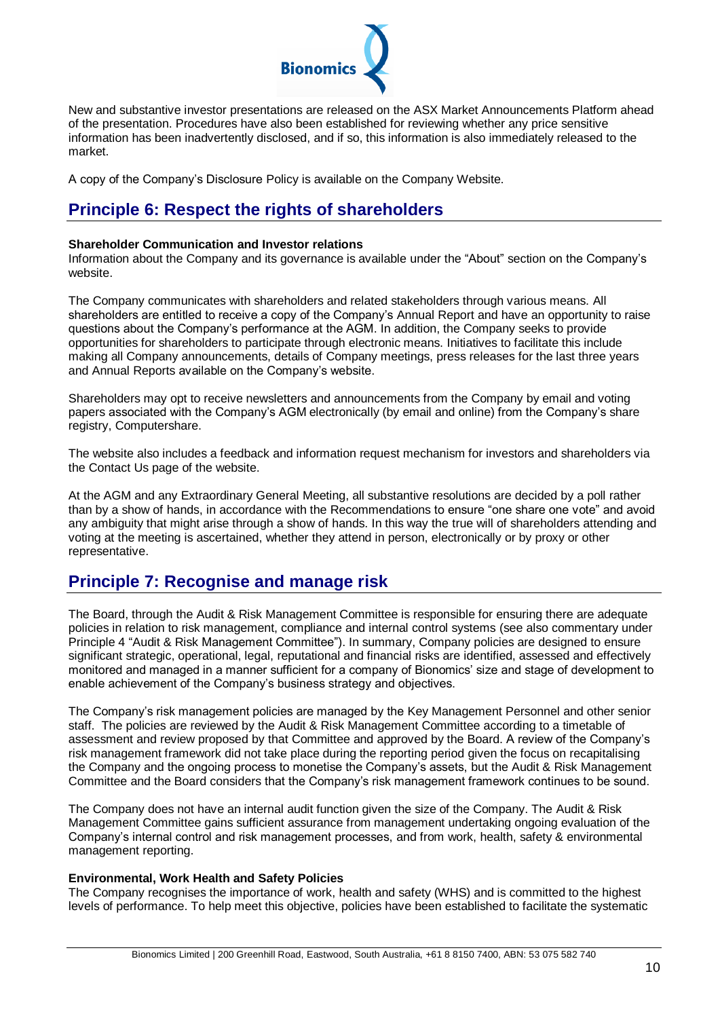

New and substantive investor presentations are released on the ASX Market Announcements Platform ahead of the presentation. Procedures have also been established for reviewing whether any price sensitive information has been inadvertently disclosed, and if so, this information is also immediately released to the market.

A copy of the Company's Disclosure Policy is available on the Company Website.

# **Principle 6: Respect the rights of shareholders**

### **Shareholder Communication and Investor relations**

Information about the Company and its governance is available under the "About" section on the Company's website.

The Company communicates with shareholders and related stakeholders through various means. All shareholders are entitled to receive a copy of the Company's Annual Report and have an opportunity to raise questions about the Company's performance at the AGM. In addition, the Company seeks to provide opportunities for shareholders to participate through electronic means. Initiatives to facilitate this include making all Company announcements, details of Company meetings, press releases for the last three years and Annual Reports available on the Company's website.

Shareholders may opt to receive newsletters and announcements from the Company by email and voting papers associated with the Company's AGM electronically (by email and online) from the Company's share registry, Computershare.

The website also includes a feedback and information request mechanism for investors and shareholders via the Contact Us page of the website.

At the AGM and any Extraordinary General Meeting, all substantive resolutions are decided by a poll rather than by a show of hands, in accordance with the Recommendations to ensure "one share one vote" and avoid any ambiguity that might arise through a show of hands. In this way the true will of shareholders attending and voting at the meeting is ascertained, whether they attend in person, electronically or by proxy or other representative.

# **Principle 7: Recognise and manage risk**

The Board, through the Audit & Risk Management Committee is responsible for ensuring there are adequate policies in relation to risk management, compliance and internal control systems (see also commentary under Principle 4 "Audit & Risk Management Committee"). In summary, Company policies are designed to ensure significant strategic, operational, legal, reputational and financial risks are identified, assessed and effectively monitored and managed in a manner sufficient for a company of Bionomics' size and stage of development to enable achievement of the Company's business strategy and objectives.

The Company's risk management policies are managed by the Key Management Personnel and other senior staff. The policies are reviewed by the Audit & Risk Management Committee according to a timetable of assessment and review proposed by that Committee and approved by the Board. A review of the Company's risk management framework did not take place during the reporting period given the focus on recapitalising the Company and the ongoing process to monetise the Company's assets, but the Audit & Risk Management Committee and the Board considers that the Company's risk management framework continues to be sound.

The Company does not have an internal audit function given the size of the Company. The Audit & Risk Management Committee gains sufficient assurance from management undertaking ongoing evaluation of the Company's internal control and risk management processes, and from work, health, safety & environmental management reporting.

# **Environmental, Work Health and Safety Policies**

The Company recognises the importance of work, health and safety (WHS) and is committed to the highest levels of performance. To help meet this objective, policies have been established to facilitate the systematic